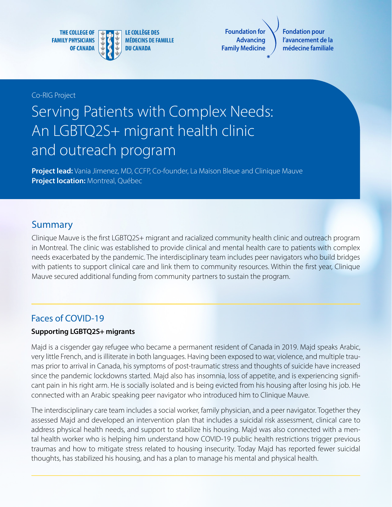**THE COLLEGE OF FAMILY PHYSICIANS OF CANADA** 



**LE COLLÈGE DES MÉDECINS DE FAMILLE DU CANADA** 

**Foundation for Advancing Family Medicine**

**Fondation pour l'avancement de la médecine familiale**

#### Co-RIG Project

# Serving Patients with Complex Needs: An LGBTQ2S+ migrant health clinic and outreach program

**Project lead:** Vania Jimenez, MD, CCFP, Co-founder, La Maison Bleue and Clinique Mauve **Project location:** Montreal, Québec

## Summary

Clinique Mauve is the first LGBTQ2S+ migrant and racialized community health clinic and outreach program in Montreal. The clinic was established to provide clinical and mental health care to patients with complex needs exacerbated by the pandemic. The interdisciplinary team includes peer navigators who build bridges with patients to support clinical care and link them to community resources. Within the first year, Clinique Mauve secured additional funding from community partners to sustain the program.

#### Faces of COVID-19

#### **Supporting LGBTQ2S+ migrants**

Majd is a cisgender gay refugee who became a permanent resident of Canada in 2019. Majd speaks Arabic, very little French, and is illiterate in both languages. Having been exposed to war, violence, and multiple traumas prior to arrival in Canada, his symptoms of post-traumatic stress and thoughts of suicide have increased since the pandemic lockdowns started. Majd also has insomnia, loss of appetite, and is experiencing significant pain in his right arm. He is socially isolated and is being evicted from his housing after losing his job. He connected with an Arabic speaking peer navigator who introduced him to Clinique Mauve.

The interdisciplinary care team includes a social worker, family physician, and a peer navigator. Together they assessed Majd and developed an intervention plan that includes a suicidal risk assessment, clinical care to address physical health needs, and support to stabilize his housing. Majd was also connected with a mental health worker who is helping him understand how COVID-19 public health restrictions trigger previous traumas and how to mitigate stress related to housing insecurity. Today Majd has reported fewer suicidal thoughts, has stabilized his housing, and has a plan to manage his mental and physical health.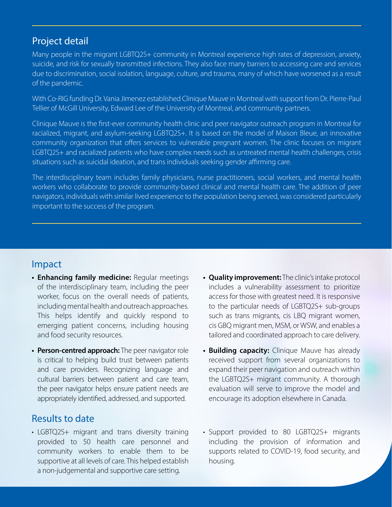## Project detail

Many people in the migrant LGBTQ2S+ community in Montreal experience high rates of depression, anxiety, suicide, and risk for sexually transmitted infections. They also face many barriers to accessing care and services due to discrimination, social isolation, language, culture, and trauma, many of which have worsened as a result of the pandemic.

With Co-RIG funding Dr. Vania Jimenez established Clinique Mauve in Montreal with support from Dr. Pierre-Paul Tellier of McGill University, Edward Lee of the University of Montreal, and community partners.

Clinique Mauve is the first-ever community health clinic and peer navigator outreach program in Montreal for racialized, migrant, and asylum-seeking LGBTQ2S+. It is based on the model of Maison Bleue, an innovative community organization that offers services to vulnerable pregnant women. The clinic focuses on migrant LGBTQ2S+ and racialized patients who have complex needs such as untreated mental health challenges, crisis situations such as suicidal ideation, and trans individuals seeking gender affirming care.

The interdisciplinary team includes family physicians, nurse practitioners, social workers, and mental health workers who collaborate to provide community-based clinical and mental health care. The addition of peer navigators, individuals with similar lived experience to the population being served, was considered particularly important to the success of the program.

## Impact

- **• Enhancing family medicine:** Regular meetings of the interdisciplinary team, including the peer worker, focus on the overall needs of patients, including mental health and outreach approaches. This helps identify and quickly respond to emerging patient concerns, including housing and food security resources.
- **• Person-centred approach:** The peer navigator role is critical to helping build trust between patients and care providers. Recognizing language and cultural barriers between patient and care team, the peer navigator helps ensure patient needs are appropriately identified, addressed, and supported.

## Results to date

• LGBTQ2S+ migrant and trans diversity training provided to 50 health care personnel and community workers to enable them to be supportive at all levels of care. This helped establish a non-judgemental and supportive care setting.

- **• Quality improvement:** The clinic's intake protocol includes a vulnerability assessment to prioritize access for those with greatest need. It is responsive to the particular needs of LGBTQ2S+ sub-groups such as trans migrants, cis LBQ migrant women, cis GBQ migrant men, MSM, or WSW, and enables a tailored and coordinated approach to care delivery.
- **• Building capacity:** Clinique Mauve has already received support from several organizations to expand their peer navigation and outreach within the LGBTQ2S+ migrant community. A thorough evaluation will serve to improve the model and encourage its adoption elsewhere in Canada.
- Support provided to 80 LGBTQ2S+ migrants including the provision of information and supports related to COVID-19, food security, and housing.